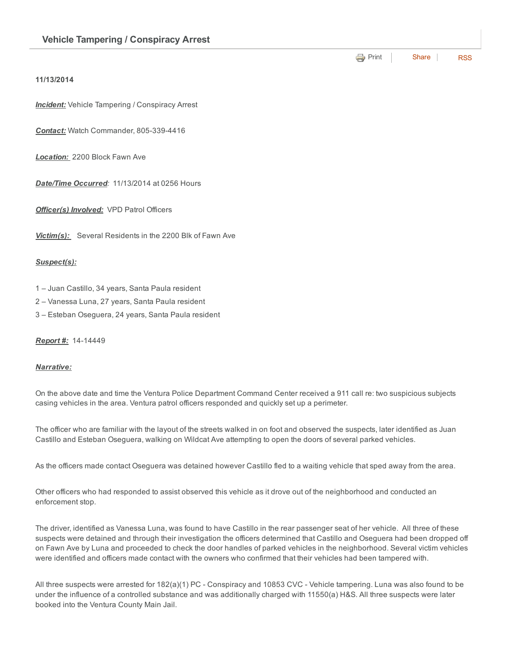**[Print](http://www.cityofventura.net/print/16246)** | [Share](javascript:void(0)) | [RSS](http://www.cityofventura.net/feed/press_release/rss.xml)

## 11/13/2014

**Incident:** Vehicle Tampering / Conspiracy Arrest

**Contact:** Watch Commander, 805-339-4416

*Location:* 2200 Block Fawn Ave

*Date/Time Occurred:* 11/13/2014 at 0256 Hours

*Officer(s) Involved:* VPD Patrol Officers

*Victim(s):* Several Residents in the 2200 Blk of Fawn Ave

## *Suspect(s):*

- 1 Juan Castillo, 34 years, Santa Paula resident
- 2 Vanessa Luna, 27 years, Santa Paula resident
- 3 Esteban Oseguera, 24 years, Santa Paula resident

## **Report #: 14-14449**

## *Narrative:*

On the above date and time the Ventura Police Department Command Center received a 911 call re: two suspicious subjects casing vehicles in the area. Ventura patrol officers responded and quickly set up a perimeter.

The officer who are familiar with the layout of the streets walked in on foot and observed the suspects, later identified as Juan Castillo and Esteban Oseguera, walking on Wildcat Ave attempting to open the doors of several parked vehicles.

As the officers made contact Oseguera was detained however Castillo fled to a waiting vehicle that sped away from the area.

Other officers who had responded to assist observed this vehicle as it drove out of the neighborhood and conducted an enforcement stop.

The driver, identified as Vanessa Luna, was found to have Castillo in the rear passenger seat of her vehicle. All three of these suspects were detained and through their investigation the officers determined that Castillo and Oseguera had been dropped off on Fawn Ave by Luna and proceeded to check the door handles of parked vehicles in the neighborhood. Several victim vehicles were identified and officers made contact with the owners who confirmed that their vehicles had been tampered with.

All three suspects were arrested for 182(a)(1) PC - Conspiracy and 10853 CVC - Vehicle tampering. Luna was also found to be under the influence of a controlled substance and was additionally charged with 11550(a) H&S. All three suspects were later booked into the Ventura County Main Jail.